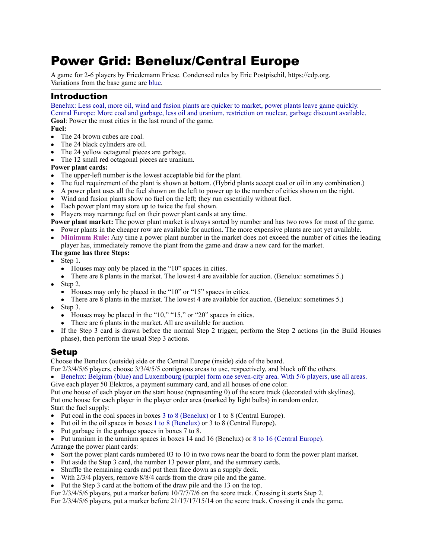# Power Grid: Benelux/Central Europe

A game for 2-6 players by Friedemann Friese. Condensed rules by Eric Postpischil,<https://edp.org>. Variations from the base game are blue.

# Introduction

Benelux: Less coal, more oil, wind and fusion plants are quicker to market, power plants leave game quickly. Central Europe: More coal and garbage, less oil and uranium, restriction on nuclear, garbage discount available. **Goal**: Power the most cities in the last round of the game.

**Fuel:** 

- The 24 brown cubes are coal.
- The 24 black cylinders are oil.
- The 24 yellow octagonal pieces are garbage.
- The 12 small red octagonal pieces are uranium.

#### **Power plant cards:**

- The upper-left number is the lowest acceptable bid for the plant.
- The fuel requirement of the plant is shown at bottom. (Hybrid plants accept coal or oil in any combination.)
- A power plant uses all the fuel shown on the left to power up to the number of cities shown on the right.
- Wind and fusion plants show no fuel on the left; they run essentially without fuel.
- Each power plant may store up to twice the fuel shown.
- Players may rearrange fuel on their power plant cards at any time.

**Power plant market:** The power plant market is always sorted by number and has two rows for most of the game. • Power plants in the cheaper row are available for auction. The more expensive plants are not yet available.

• **Minimum Rule:** Any time a power plant number in the market does not exceed the number of cities the leading player has, immediately remove the plant from the game and draw a new card for the market.

#### **The game has three Steps:**

- Step 1.
	- Houses may only be placed in the "10" spaces in cities.
	- There are 8 plants in the market. The lowest 4 are available for auction. (Benelux: sometimes 5.)
- $\bullet$  Step 2.
	- Houses may only be placed in the "10" or "15" spaces in cities.
	- There are 8 plants in the market. The lowest 4 are available for auction. (Benelux: sometimes 5.)
- Step 3.
	- Houses may be placed in the "10," "15," or "20" spaces in cities.
	- There are 6 plants in the market. All are available for auction.
- If the Step 3 card is drawn before the normal Step 2 trigger, perform the Step 2 actions (in the Build Houses phase), then perform the usual Step 3 actions.

# Setup

Choose the Benelux (outside) side or the Central Europe (inside) side of the board.

- For 2/3/4/5/6 players, choose 3/3/4/5/5 contiguous areas to use, respectively, and block off the others.
- Benelux: Belgium (blue) and Luxembourg (purple) form one seven-city area. With 5/6 players, use all areas.

Give each player 50 Elektros, a payment summary card, and all houses of one color.

- Put one house of each player on the start house (representing 0) of the score track (decorated with skylines).
- Put one house for each player in the player order area (marked by light bulbs) in random order.

Start the fuel supply:

- Put coal in the coal spaces in boxes 3 to 8 (Benelux) or 1 to 8 (Central Europe).
- Put oil in the oil spaces in boxes 1 to 8 (Benelux) or 3 to 8 (Central Europe).
- Put garbage in the garbage spaces in boxes 7 to 8.
- Put uranium in the uranium spaces in boxes 14 and 16 (Benelux) or 8 to 16 (Central Europe). Arrange the power plant cards:
- Sort the power plant cards numbered 03 to 10 in two rows near the board to form the power plant market.
- Put aside the Step 3 card, the number 13 power plant, and the summary cards.
- Shuffle the remaining cards and put them face down as a supply deck.
- With  $2/3/4$  players, remove  $8/8/4$  cards from the draw pile and the game.
- Put the Step 3 card at the bottom of the draw pile and the 13 on the top.

For 2/3/4/5/6 players, put a marker before 10/7/7/7/6 on the score track. Crossing it starts Step 2.

For 2/3/4/5/6 players, put a marker before 21/17/17/15/14 on the score track. Crossing it ends the game.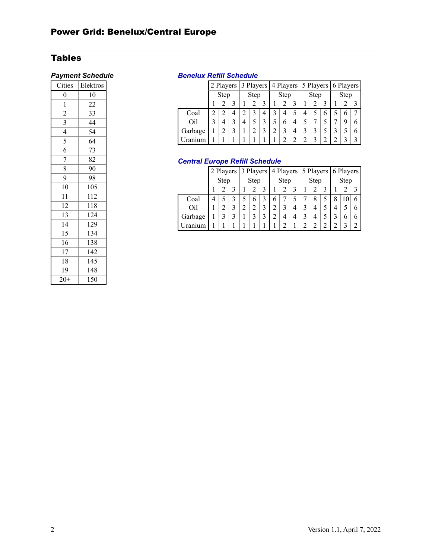# Tables

| Cities         | Elektros |
|----------------|----------|
| $\overline{0}$ | 10       |
| 1              | 22       |
| $\overline{c}$ | 33       |
| $\overline{3}$ | 44       |
| $\overline{4}$ | 54       |
| 5              | 64       |
| 6              | 73       |
| 7              | 82       |
| 8              | 90       |
| 9              | 98       |
| 10             | 105      |
| 11             | 112      |
| 12             | 118      |
| 13             | 124      |
| 14             | 129      |
| 15             | 134      |
| 16             | 138      |
| 17             | 142      |
| 18             | 145      |
| 19             | 148      |
| $20+$          | 150      |

## **Payment Schedule Benelux Refill Schedule**

|         |      |   |  | 2 Players 3 Players 4 Players 5 Players 6 Players |  |   |      |   |  |      |  |   |      |   |   |
|---------|------|---|--|---------------------------------------------------|--|---|------|---|--|------|--|---|------|---|---|
|         | Step |   |  | Step                                              |  |   | Step |   |  | Step |  |   | Step |   |   |
|         |      |   |  |                                                   |  |   |      |   |  |      |  |   |      |   |   |
| Coal    |      |   |  |                                                   |  | 4 |      |   |  |      |  | 6 |      | 6 |   |
| Oil     |      | 4 |  | 4                                                 |  |   |      | 6 |  |      |  |   |      | 9 | 6 |
| Garbage |      |   |  |                                                   |  |   |      |   |  |      |  |   |      |   | 6 |
|         |      |   |  |                                                   |  |   |      |   |  |      |  |   |      |   |   |

# *Central Europe Refill Schedule*

|         | Step |  |   | 2 Players 3 Players 4 Players 5 Players |   |  |      |  |  |      |   |  | 6 Players |    |   |
|---------|------|--|---|-----------------------------------------|---|--|------|--|--|------|---|--|-----------|----|---|
|         |      |  |   | Step                                    |   |  | Step |  |  | Step |   |  | Step      |    |   |
|         |      |  |   |                                         |   |  |      |  |  |      |   |  |           |    |   |
| Coal    | 4    |  |   |                                         | 6 |  | h    |  |  |      | 8 |  | 8         | 10 | 6 |
| Oil     |      |  |   |                                         |   |  |      |  |  |      | 4 |  | 4         |    | 6 |
| Garbage |      |  | 3 |                                         |   |  |      |  |  |      | 4 |  |           | 6  | 6 |
| Uranium |      |  |   |                                         |   |  |      |  |  |      |   |  |           |    |   |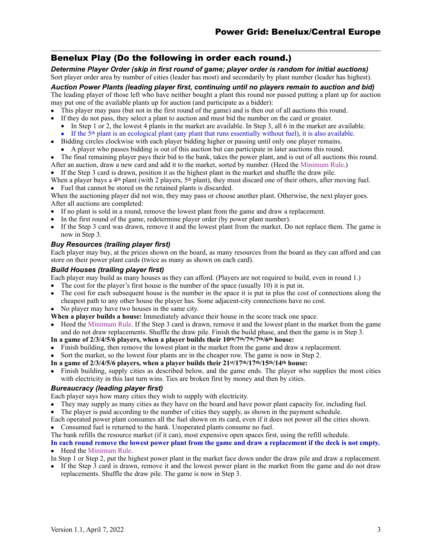# Benelux Play (Do the following in order each round.)

*Determine Player Order (skip in first round of game; player order is random for initial auctions)*  Sort player order area by number of cities (leader has most) and secondarily by plant number (leader has highest).

*Auction Power Plants (leading player first, continuing until no players remain to auction and bid)* 

The leading player of those left who have neither bought a plant this round nor passed putting a plant up for auction may put one of the available plants up for auction (and participate as a bidder):

- This player may pass (but not in the first round of the game) and is then out of all auctions this round.
- If they do not pass, they select a plant to auction and must bid the number on the card or greater.
	- In Step 1 or 2, the lowest 4 plants in the market are available. In Step 3, all 6 in the market are available.
	- If the 5<sup>th</sup> plant is an ecological plant (any plant that runs essentially without fuel), it is also available.
- Bidding circles clockwise with each player bidding higher or passing until only one player remains. • A player who passes bidding is out of this auction but can participate in later auctions this round.
- The final remaining player pays their bid to the bank, takes the power plant, and is out of all auctions this round.
- After an auction, draw a new card and add it to the market, sorted by number. (Heed the Minimum Rule.)
- If the Step 3 card is drawn, position it as the highest plant in the market and shuffle the draw pile.

When a player buys a  $4<sup>th</sup>$  plant (with 2 players,  $5<sup>th</sup>$  plant), they must discard one of their others, after moving fuel. • Fuel that cannot be stored on the retained plants is discarded.

When the auctioning player did not win, they may pass or choose another plant. Otherwise, the next player goes. After all auctions are completed:

- If no plant is sold in a round, remove the lowest plant from the game and draw a replacement.
- In the first round of the game, redetermine player order (by power plant number).
- If the Step 3 card was drawn, remove it and the lowest plant from the market. Do not replace them. The game is now in Step 3.

#### *Buy Resources (trailing player first)*

Each player may buy, at the prices shown on the board, as many resources from the board as they can afford and can store on their power plant cards (twice as many as shown on each card).

#### *Build Houses (trailing player first)*

Each player may build as many houses as they can afford. (Players are not required to build, even in round 1.)

- The cost for the player's first house is the number of the space (usually 10) it is put in.<br>• The cost for each subsequent house is the number in the space it is put in plus the cos
- The cost for each subsequent house is the number in the space it is put in plus the cost of connections along the cheapest path to any other house the player has. Some adjacent-city connections have no cost.
- No player may have two houses in the same city.

**When a player builds a house:** Immediately advance their house in the score track one space.

- Heed the Minimum Rule. If the Step 3 card is drawn, remove it and the lowest plant in the market from the game and do not draw replacements. Shuffle the draw pile. Finish the build phase, and then the game is in Step 3.
- **In a game of 2/3/4/5/6 players, when a player builds their 10th/7th/7th/7th/6th house:**
- Finish building, then remove the lowest plant in the market from the game and draw a replacement.
- Sort the market, so the lowest four plants are in the cheaper row. The game is now in Step 2.
- **In a game of 2/3/4/5/6 players, when a player builds their 21st/17th/17th/15th/14th house:**
- Finish building, supply cities as described below, and the game ends. The player who supplies the most cities with electricity in this last turn wins. Ties are broken first by money and then by cities.

### *Bureaucracy (leading player first)*

Each player says how many cities they wish to supply with electricity.

- They may supply as many cities as they have on the board and have power plant capacity for, including fuel.
- The player is paid according to the number of cities they supply, as shown in the payment schedule.
- Each operated power plant consumes all the fuel shown on its card, even if it does not power all the cities shown.
- Consumed fuel is returned to the bank. Unoperated plants consume no fuel.

The bank refills the resource market (if it can), most expensive open spaces first, using the refill schedule.

# **In each round remove the lowest power plant from the game and draw a replacement if the deck is not empty.**

• Heed the Minimum Rule.

In Step 1 or Step 2, put the highest power plant in the market face down under the draw pile and draw a replacement.

• If the Step 3 card is drawn, remove it and the lowest power plant in the market from the game and do not draw replacements. Shuffle the draw pile. The game is now in Step 3.